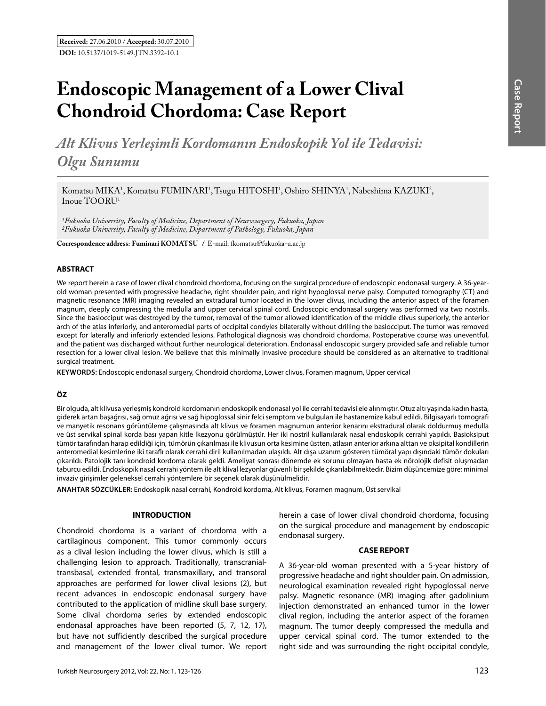# **Endoscopic Management of a Lower Clival Chondroid Chordoma: Case Report**

*Alt Klivus Yerleşimli Kordomanın Endoskopik Yol ile Tedavisi: Olgu Sunumu*

Komatsu MIKA<sup>1</sup>, Komatsu FUMINARI<sup>1</sup>, Tsugu HITOSHI<sup>1</sup>, Oshiro SHINYA<sup>1</sup>, Nabeshima KAZUKI<sup>2</sup>, Inoue TOORU<sup>1</sup>

*1Fukuoka University, Faculty of Medicine, Department of Neurosurgery, Fukuoka, Japan 2Fukuoka University, Faculty of Medicine, Department of Pathology, Fukuoka, Japan* 

**Correspondence address: Fuminari Komatsu /** E-mail: fkomatsu@fukuoka-u.ac.jp

## **ABSTRACT**

We report herein a case of lower clival chondroid chordoma, focusing on the surgical procedure of endoscopic endonasal surgery. A 36-yearold woman presented with progressive headache, right shoulder pain, and right hypoglossal nerve palsy. Computed tomography (CT) and magnetic resonance (MR) imaging revealed an extradural tumor located in the lower clivus, including the anterior aspect of the foramen magnum, deeply compressing the medulla and upper cervical spinal cord. Endoscopic endonasal surgery was performed via two nostrils. Since the basiocciput was destroyed by the tumor, removal of the tumor allowed identification of the middle clivus superiorly, the anterior arch of the atlas inferiorly, and anteromedial parts of occipital condyles bilaterally without drilling the basiocciput. The tumor was removed except for laterally and inferiorly extended lesions. Pathological diagnosis was chondroid chordoma. Postoperative course was uneventful, and the patient was discharged without further neurological deterioration. Endonasal endoscopic surgery provided safe and reliable tumor resection for a lower clival lesion. We believe that this minimally invasive procedure should be considered as an alternative to traditional surgical treatment.

**Keywords:** Endoscopic endonasal surgery, Chondroid chordoma, Lower clivus, Foramen magnum, Upper cervical

## **ÖZ**

Bir olguda, alt klivusa yerleşmiş kondroid kordomanın endoskopik endonasal yol ile cerrahi tedavisi ele alınmıştır. Otuz altı yaşında kadın hasta, giderek artan başağrısı, sağ omuz ağrısı ve sağ hipoglossal sinir felci semptom ve bulguları ile hastanemize kabul edildi. Bilgisayarlı tomografi ve manyetik resonans görüntüleme çalışmasında alt klivus ve foramen magnumun anterior kenarını ekstradural olarak doldurmuş medulla ve üst servikal spinal korda bası yapan kitle lkezyonu görülmüştür. Her iki nostril kullanılarak nasal endoskopik cerrahi yapıldı. Basioksiput tümör tarafından harap edildiği için, tümörün çıkarılması ile klivusun orta kesimine üstten, atlasın anterior arkına alttan ve oksipital kondillerin anteromedial kesimlerine iki taraflı olarak cerrahi diril kullanılmadan ulaşıldı. Alt dışa uzanım gösteren tümöral yapı dışındaki tümör dokuları çıkarıldı. Patolojik tanı kondroid kordoma olarak geldi. Ameliyat sonrası dönemde ek sorunu olmayan hasta ek nörolojik defisit oluşmadan taburcu edildi. Endoskopik nasal cerrahi yöntem ile alt klival lezyonlar güvenli bir şekilde çıkarılabilmektedir. Bizim düşüncemize göre; minimal invaziv girişimler geleneksel cerrahi yöntemlere bir seçenek olarak düşünülmelidir.

**ANAHTAR SÖZCÜKLER:** Endoskopik nasal cerrahi, Kondroid kordoma, Alt klivus, Foramen magnum, Üst servikal

## **INTRODUCTION**

Chondroid chordoma is a variant of chordoma with a cartilaginous component. This tumor commonly occurs as a clival lesion including the lower clivus, which is still a challenging lesion to approach. Traditionally, transcranialtransbasal, extended frontal, transmaxillary, and transoral approaches are performed for lower clival lesions (2), but recent advances in endoscopic endonasal surgery have contributed to the application of midline skull base surgery. Some clival chordoma series by extended endoscopic endonasal approaches have been reported (5, 7, 12, 17), but have not sufficiently described the surgical procedure and management of the lower clival tumor. We report

herein a case of lower clival chondroid chordoma, focusing on the surgical procedure and management by endoscopic endonasal surgery.

#### **CASE REPORT**

A 36-year-old woman presented with a 5-year history of progressive headache and right shoulder pain. On admission, neurological examination revealed right hypoglossal nerve palsy. Magnetic resonance (MR) imaging after gadolinium injection demonstrated an enhanced tumor in the lower clival region, including the anterior aspect of the foramen magnum. The tumor deeply compressed the medulla and upper cervical spinal cord. The tumor extended to the right side and was surrounding the right occipital condyle,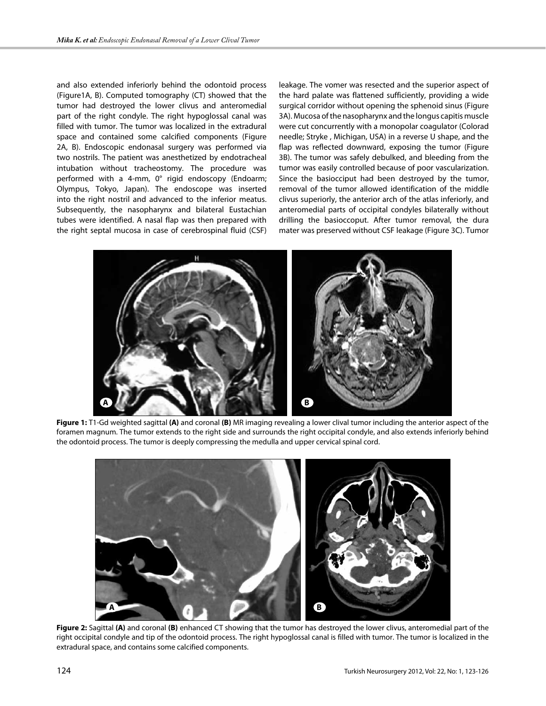and also extended inferiorly behind the odontoid process (Figure1A, B). Computed tomography (CT) showed that the tumor had destroyed the lower clivus and anteromedial part of the right condyle. The right hypoglossal canal was filled with tumor. The tumor was localized in the extradural space and contained some calcified components (Figure 2A, B). Endoscopic endonasal surgery was performed via two nostrils. The patient was anesthetized by endotracheal intubation without tracheostomy. The procedure was performed with a 4-mm, 0° rigid endoscopy (Endoarm; Olympus, Tokyo, Japan). The endoscope was inserted into the right nostril and advanced to the inferior meatus. Subsequently, the nasopharynx and bilateral Eustachian tubes were identified. A nasal flap was then prepared with the right septal mucosa in case of cerebrospinal fluid (CSF)

leakage. The vomer was resected and the superior aspect of the hard palate was flattened sufficiently, providing a wide surgical corridor without opening the sphenoid sinus (Figure 3A). Mucosa of the nasopharynx and the longus capitis muscle were cut concurrently with a monopolar coagulator (Colorad needle; Stryke , Michigan, USA) in a reverse U shape, and the flap was reflected downward, exposing the tumor (Figure 3B). The tumor was safely debulked, and bleeding from the tumor was easily controlled because of poor vascularization. Since the basiocciput had been destroyed by the tumor, removal of the tumor allowed identification of the middle clivus superiorly, the anterior arch of the atlas inferiorly, and anteromedial parts of occipital condyles bilaterally without drilling the basioccoput. After tumor removal, the dura mater was preserved without CSF leakage (Figure 3C). Tumor



**Figure 1:** T1-Gd weighted sagittal **(A)** and coronal **(B)** MR imaging revealing a lower clival tumor including the anterior aspect of the foramen magnum. The tumor extends to the right side and surrounds the right occipital condyle, and also extends inferiorly behind the odontoid process. The tumor is deeply compressing the medulla and upper cervical spinal cord.



**Figure 2:** Sagittal **(A)** and coronal **(B)** enhanced CT showing that the tumor has destroyed the lower clivus, anteromedial part of the right occipital condyle and tip of the odontoid process. The right hypoglossal canal is filled with tumor. The tumor is localized in the extradural space, and contains some calcified components.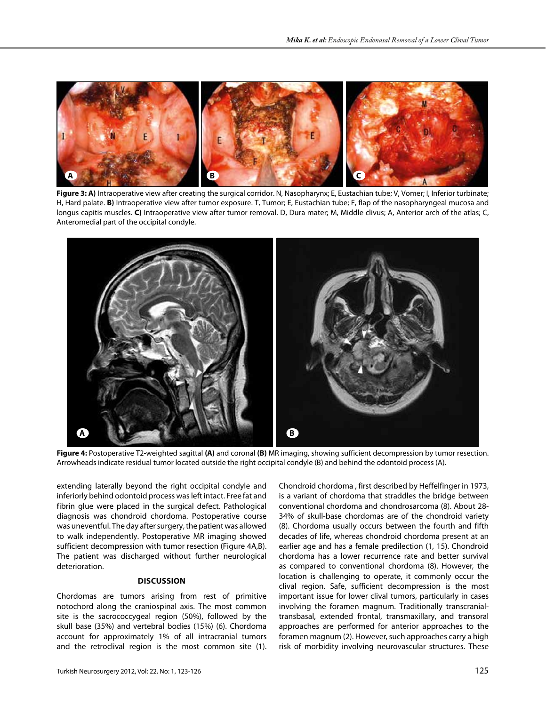

**Figure 3: A)** Intraoperative view after creating the surgical corridor. N, Nasopharynx; E, Eustachian tube; V, Vomer; I, Inferior turbinate; H, Hard palate. **B)** Intraoperative view after tumor exposure. T, Tumor; E, Eustachian tube; F, flap of the nasopharyngeal mucosa and longus capitis muscles. **C)** Intraoperative view after tumor removal. D, Dura mater; M, Middle clivus; A, Anterior arch of the atlas; C, Anteromedial part of the occipital condyle.



**Figure 4:** Postoperative T2-weighted sagittal **(A)** and coronal **(B)** MR imaging, showing sufficient decompression by tumor resection. Arrowheads indicate residual tumor located outside the right occipital condyle (B) and behind the odontoid process (A).

extending laterally beyond the right occipital condyle and inferiorly behind odontoid process was left intact. Free fat and fibrin glue were placed in the surgical defect. Pathological diagnosis was chondroid chordoma. Postoperative course was uneventful. The day after surgery, the patient was allowed to walk independently. Postoperative MR imaging showed sufficient decompression with tumor resection (Figure 4A,B). The patient was discharged without further neurological deterioration.

#### **DISCUSSION**

Chordomas are tumors arising from rest of primitive notochord along the craniospinal axis. The most common site is the sacrococcygeal region (50%), followed by the skull base (35%) and vertebral bodies (15%) (6). Chordoma account for approximately 1% of all intracranial tumors and the retroclival region is the most common site (1).

Chondroid chordoma , first described by Heffelfinger in 1973, is a variant of chordoma that straddles the bridge between conventional chordoma and chondrosarcoma (8). About 28- 34% of skull-base chordomas are of the chondroid variety (8). Chordoma usually occurs between the fourth and fifth decades of life, whereas chondroid chordoma present at an earlier age and has a female predilection (1, 15). Chondroid chordoma has a lower recurrence rate and better survival as compared to conventional chordoma (8). However, the location is challenging to operate, it commonly occur the clival region. Safe, sufficient decompression is the most important issue for lower clival tumors, particularly in cases involving the foramen magnum. Traditionally transcranialtransbasal, extended frontal, transmaxillary, and transoral approaches are performed for anterior approaches to the foramen magnum (2). However, such approaches carry a high risk of morbidity involving neurovascular structures. These